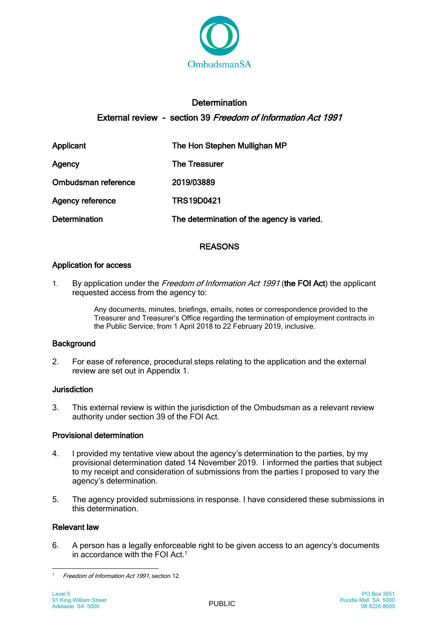

# **Determination** External review - section 39 Freedom of Information Act 1991

| Applicant               | The Hon Stephen Mullighan MP               |
|-------------------------|--------------------------------------------|
| Agency                  | <b>The Treasurer</b>                       |
| Ombudsman reference     | 2019/03889                                 |
| <b>Agency reference</b> | <b>TRS19D0421</b>                          |
| <b>Determination</b>    | The determination of the agency is varied. |

# REASONS

# Application for access

1. By application under the Freedom of Information Act 1991 (the FOI Act) the applicant requested access from the agency to:

> Any documents, minutes, briefings, emails, notes or correspondence provided to the Treasurer and Treasurer's Office regarding the termination of employment contracts in the Public Service, from 1 April 2018 to 22 February 2019, inclusive.

# **Background**

2. For ease of reference, procedural steps relating to the application and the external review are set out in Appendix 1.

# **Jurisdiction**

3. This external review is within the jurisdiction of the Ombudsman as a relevant review authority under section 39 of the FOI Act.

# Provisional determination

- 4. I provided my tentative view about the agency's determination to the parties, by my provisional determination dated 14 November 2019. I informed the parties that subject to my receipt and consideration of submissions from the parties I proposed to vary the agency's determination.
- 5. The agency provided submissions in response. I have considered these submissions in this determination.

# Relevant law

6. A person has a legally enforceable right to be given access to an agency's documents in accordance with the FOI Act.<sup>1</sup>

 $\mathbf{1}$ Freedom of Information Act 1991, section 12.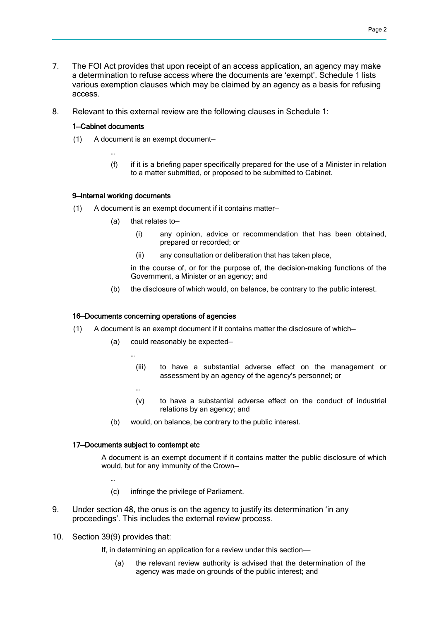- 7. The FOI Act provides that upon receipt of an access application, an agency may make a determination to refuse access where the documents are 'exempt'. Schedule 1 lists various exemption clauses which may be claimed by an agency as a basis for refusing access.
- 8. Relevant to this external review are the following clauses in Schedule 1:

### 1—Cabinet documents

…

- (1) A document is an exempt document—
	- (f) if it is a briefing paper specifically prepared for the use of a Minister in relation to a matter submitted, or proposed to be submitted to Cabinet.

### 9—Internal working documents

- (1) A document is an exempt document if it contains matter—
	- (a) that relates to—
		- (i) any opinion, advice or recommendation that has been obtained, prepared or recorded; or
		- (ii) any consultation or deliberation that has taken place,

in the course of, or for the purpose of, the decision-making functions of the Government, a Minister or an agency; and

(b) the disclosure of which would, on balance, be contrary to the public interest.

### 16—Documents concerning operations of agencies

- (1) A document is an exempt document if it contains matter the disclosure of which—
	- (a) could reasonably be expected—
		- (iii) to have a substantial adverse effect on the management or assessment by an agency of the agency's personnel; or
		- (v) to have a substantial adverse effect on the conduct of industrial relations by an agency; and
	- (b) would, on balance, be contrary to the public interest.

### 17—Documents subject to contempt etc

…

…

A document is an exempt document if it contains matter the public disclosure of which would, but for any immunity of the Crown—

…

- (c) infringe the privilege of Parliament.
- 9. Under section 48, the onus is on the agency to justify its determination 'in any proceedings'. This includes the external review process.
- 10. Section 39(9) provides that:
	- If, in determining an application for a review under this section—
		- (a) the relevant review authority is advised that the determination of the agency was made on grounds of the public interest; and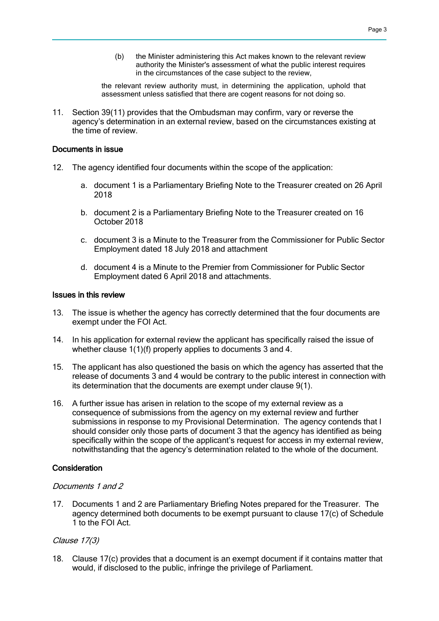(b) the Minister administering this Act makes known to the relevant review authority the Minister's assessment of what the public interest requires in the circumstances of the case subject to the review,

the relevant review authority must, in determining the application, uphold that assessment unless satisfied that there are cogent reasons for not doing so.

11. Section 39(11) provides that the Ombudsman may confirm, vary or reverse the agency's determination in an external review, based on the circumstances existing at the time of review.

# Documents in issue

- 12. The agency identified four documents within the scope of the application:
	- a. document 1 is a Parliamentary Briefing Note to the Treasurer created on 26 April 2018
	- b. document 2 is a Parliamentary Briefing Note to the Treasurer created on 16 October 2018
	- c. document 3 is a Minute to the Treasurer from the Commissioner for Public Sector Employment dated 18 July 2018 and attachment
	- d. document 4 is a Minute to the Premier from Commissioner for Public Sector Employment dated 6 April 2018 and attachments.

### Issues in this review

- 13. The issue is whether the agency has correctly determined that the four documents are exempt under the FOI Act.
- 14. In his application for external review the applicant has specifically raised the issue of whether clause 1(1)(f) properly applies to documents 3 and 4.
- 15. The applicant has also questioned the basis on which the agency has asserted that the release of documents 3 and 4 would be contrary to the public interest in connection with its determination that the documents are exempt under clause 9(1).
- 16. A further issue has arisen in relation to the scope of my external review as a consequence of submissions from the agency on my external review and further submissions in response to my Provisional Determination. The agency contends that I should consider only those parts of document 3 that the agency has identified as being specifically within the scope of the applicant's request for access in my external review, notwithstanding that the agency's determination related to the whole of the document.

# **Consideration**

### Documents 1 and 2

17. Documents 1 and 2 are Parliamentary Briefing Notes prepared for the Treasurer. The agency determined both documents to be exempt pursuant to clause 17(c) of Schedule 1 to the FOI Act.

# Clause 17(3)

18. Clause 17(c) provides that a document is an exempt document if it contains matter that would, if disclosed to the public, infringe the privilege of Parliament.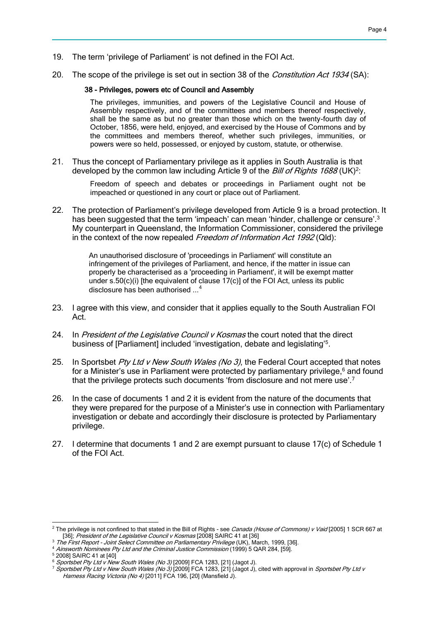- 19. The term 'privilege of Parliament' is not defined in the FOI Act.
- 20. The scope of the privilege is set out in section 38 of the *Constitution Act 1934* (SA):

#### 38 - Privileges, powers etc of Council and Assembly

The privileges, immunities, and powers of the Legislative Council and House of Assembly respectively, and of the committees and members thereof respectively, shall be the same as but no greater than those which on the twenty-fourth day of October, 1856, were held, enjoyed, and exercised by the House of Commons and by the committees and members thereof, whether such privileges, immunities, or powers were so held, possessed, or enjoyed by custom, statute, or otherwise.

21. Thus the concept of Parliamentary privilege as it applies in South Australia is that developed by the common law including Article 9 of the *Bill of Rights 1688* (UK)<sup>2</sup>:

> Freedom of speech and debates or proceedings in Parliament ought not be impeached or questioned in any court or place out of Parliament.

22. The protection of Parliament's privilege developed from Article 9 is a broad protection. It has been suggested that the term 'impeach' can mean 'hinder, challenge or censure'.<sup>3</sup> My counterpart in Queensland, the Information Commissioner, considered the privilege in the context of the now repealed Freedom of Information Act 1992 (Qld):

> An unauthorised disclosure of 'proceedings in Parliament' will constitute an infringement of the privileges of Parliament, and hence, if the matter in issue can properly be characterised as a 'proceeding in Parliament', it will be exempt matter under  $s.50(c)(i)$  [the equivalent of clause  $17(c)$ ] of the FOI Act, unless its public disclosure has been authorised ...<sup>4</sup>

- 23. I agree with this view, and consider that it applies equally to the South Australian FOI Act.
- 24. In President of the Legislative Council v Kosmas the court noted that the direct business of [Parliament] included 'investigation, debate and legislating'<sup>5</sup>.
- 25. In Sportsbet Pty Ltd v New South Wales (No 3), the Federal Court accepted that notes for a Minister's use in Parliament were protected by parliamentary privilege, $6$  and found that the privilege protects such documents 'from disclosure and not mere use'.<sup>7</sup>
- 26. In the case of documents 1 and 2 it is evident from the nature of the documents that they were prepared for the purpose of a Minister's use in connection with Parliamentary investigation or debate and accordingly their disclosure is protected by Parliamentary privilege.
- 27. I determine that documents 1 and 2 are exempt pursuant to clause 17(c) of Schedule 1 of the FOI Act.

<sup>4</sup> Ainsworth Nominees Pty Ltd and the Criminal Justice Commission (1999) 5 QAR 284, [59].

<sup>&</sup>lt;sup>2</sup> The privilege is not confined to that stated in the Bill of Rights - see Canada (House of Commons) v Vaid [2005] 1 SCR 667 at [36]; President of the Legislative Council v Kosmas [2008] SAIRC 41 at [36]

<sup>&</sup>lt;sup>3</sup> The First Report - Joint Select Committee on Parliamentary Privilege (UK), March, 1999, [36].

<sup>5</sup> 2008] SAIRC 41 at [40]

 $\frac{1}{6}$  Sportsbet Pty Ltd v New South Wales (No 3) [2009] FCA 1283, [21] (Jagot J).

<sup>&</sup>lt;sup>7</sup> Sportsbet Pty Ltd v New South Wales (No 3) [2009] FCA 1283, [21] (Jagot J), cited with approval in *Sportsbet Pty Ltd v* Harness Racing Victoria (No 4) [2011] FCA 196, [20] (Mansfield J).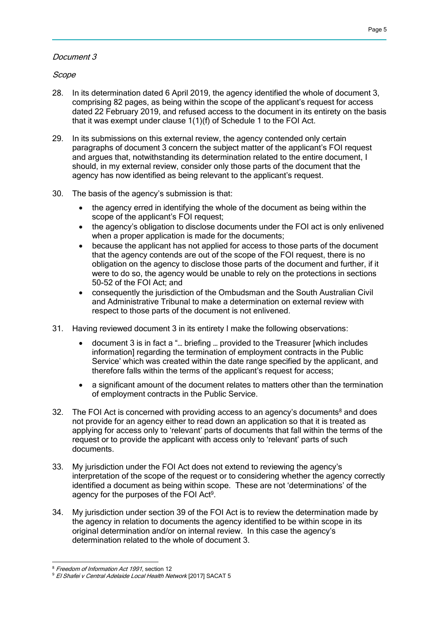# Document 3

Scope

- 28. In its determination dated 6 April 2019, the agency identified the whole of document 3, comprising 82 pages, as being within the scope of the applicant's request for access dated 22 February 2019, and refused access to the document in its entirety on the basis that it was exempt under clause 1(1)(f) of Schedule 1 to the FOI Act.
- 29. In its submissions on this external review, the agency contended only certain paragraphs of document 3 concern the subject matter of the applicant's FOI request and argues that, notwithstanding its determination related to the entire document, I should, in my external review, consider only those parts of the document that the agency has now identified as being relevant to the applicant's request.
- 30. The basis of the agency's submission is that:
	- the agency erred in identifying the whole of the document as being within the scope of the applicant's FOI request:
	- the agency's obligation to disclose documents under the FOI act is only enlivened when a proper application is made for the documents;
	- because the applicant has not applied for access to those parts of the document that the agency contends are out of the scope of the FOI request, there is no obligation on the agency to disclose those parts of the document and further, if it were to do so, the agency would be unable to rely on the protections in sections 50-52 of the FOI Act; and
	- consequently the jurisdiction of the Ombudsman and the South Australian Civil and Administrative Tribunal to make a determination on external review with respect to those parts of the document is not enlivened.
- 31. Having reviewed document 3 in its entirety I make the following observations:
	- document 3 is in fact a "… briefing … provided to the Treasurer [which includes information] regarding the termination of employment contracts in the Public Service' which was created within the date range specified by the applicant, and therefore falls within the terms of the applicant's request for access:
	- a significant amount of the document relates to matters other than the termination of employment contracts in the Public Service.
- 32. The FOI Act is concerned with providing access to an agency's documents $^8$  and does not provide for an agency either to read down an application so that it is treated as applying for access only to 'relevant' parts of documents that fall within the terms of the request or to provide the applicant with access only to 'relevant' parts of such documents.
- 33. My jurisdiction under the FOI Act does not extend to reviewing the agency's interpretation of the scope of the request or to considering whether the agency correctly identified a document as being within scope. These are not 'determinations' of the agency for the purposes of the FOI Act<sup>9</sup>.
- 34. My jurisdiction under section 39 of the FOI Act is to review the determination made by the agency in relation to documents the agency identified to be within scope in its original determination and/or on internal review. In this case the agency's determination related to the whole of document 3.

 <sup>8</sup> Freedom of Information Act 1991, section 12

<sup>9</sup> El Shafei v Central Adelaide Local Health Network [2017] SACAT 5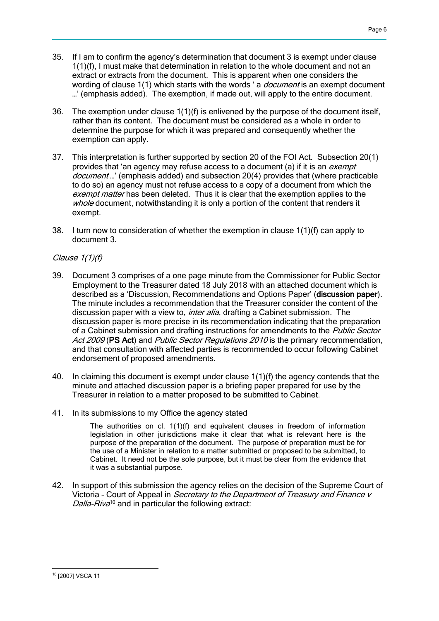- 35. If I am to confirm the agency's determination that document 3 is exempt under clause 1(1)(f), I must make that determination in relation to the whole document and not an extract or extracts from the document. This is apparent when one considers the wording of clause 1(1) which starts with the words 'a *document* is an exempt document …' (emphasis added). The exemption, if made out, will apply to the entire document.
- 36. The exemption under clause 1(1)(f) is enlivened by the purpose of the document itself, rather than its content. The document must be considered as a whole in order to determine the purpose for which it was prepared and consequently whether the exemption can apply.
- 37. This interpretation is further supported by section 20 of the FOI Act. Subsection 20(1) provides that 'an agency may refuse access to a document (a) if it is an *exempt* document ...' (emphasis added) and subsection 20(4) provides that (where practicable to do so) an agency must not refuse access to a copy of a document from which the exempt matter has been deleted. Thus it is clear that the exemption applies to the whole document, notwithstanding it is only a portion of the content that renders it exempt.
- 38. I turn now to consideration of whether the exemption in clause  $1(1)(f)$  can apply to document 3.

# Clause 1(1)(f)

- 39. Document 3 comprises of a one page minute from the Commissioner for Public Sector Employment to the Treasurer dated 18 July 2018 with an attached document which is described as a 'Discussion, Recommendations and Options Paper' (discussion paper). The minute includes a recommendation that the Treasurer consider the content of the discussion paper with a view to, *inter alia*, drafting a Cabinet submission. The discussion paper is more precise in its recommendation indicating that the preparation of a Cabinet submission and drafting instructions for amendments to the *Public Sector* Act 2009 (PS Act) and Public Sector Regulations 2010 is the primary recommendation, and that consultation with affected parties is recommended to occur following Cabinet endorsement of proposed amendments.
- 40. In claiming this document is exempt under clause 1(1)(f) the agency contends that the minute and attached discussion paper is a briefing paper prepared for use by the Treasurer in relation to a matter proposed to be submitted to Cabinet.
- 41. In its submissions to my Office the agency stated

The authorities on cl. 1(1)(f) and equivalent clauses in freedom of information legislation in other jurisdictions make it clear that what is relevant here is the purpose of the preparation of the document. The purpose of preparation must be for the use of a Minister in relation to a matter submitted or proposed to be submitted, to Cabinet. It need not be the sole purpose, but it must be clear from the evidence that it was a substantial purpose.

42. In support of this submission the agency relies on the decision of the Supreme Court of Victoria - Court of Appeal in *Secretary to the Department of Treasury and Finance v* Dalla-Riva<sup>10</sup> and in particular the following extract:

 <sup>10</sup> [2007] VSCA 11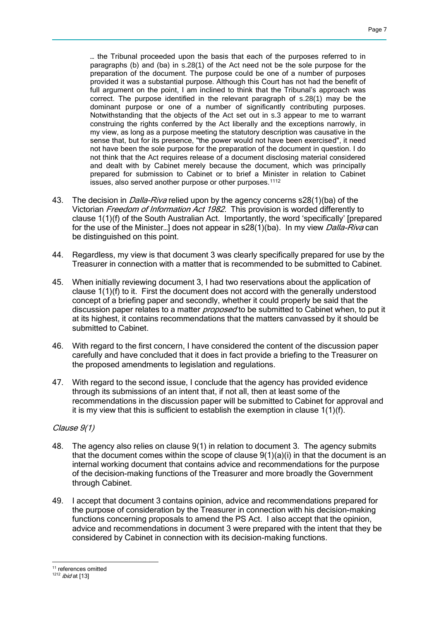… the Tribunal proceeded upon the basis that each of the purposes referred to in paragraphs (b) and (ba) in s.28(1) of the Act need not be the sole purpose for the preparation of the document. The purpose could be one of a number of purposes provided it was a substantial purpose. Although this Court has not had the benefit of full argument on the point, I am inclined to think that the Tribunal's approach was correct. The purpose identified in the relevant paragraph of s.28(1) may be the dominant purpose or one of a number of significantly contributing purposes. Notwithstanding that the objects of the Act set out in s.3 appear to me to warrant construing the rights conferred by the Act liberally and the exceptions narrowly, in my view, as long as a purpose meeting the statutory description was causative in the sense that, but for its presence, "the power would not have been exercised", it need not have been the sole purpose for the preparation of the document in question. I do not think that the Act requires release of a document disclosing material considered and dealt with by Cabinet merely because the document, which was principally prepared for submission to Cabinet or to brief a Minister in relation to Cabinet issues, also served another purpose or other purposes.<sup>1112</sup>

- 43. The decision in *Dalla-Riva* relied upon by the agency concerns s28(1)(ba) of the Victorian Freedom of Information Act 1982. This provision is worded differently to clause 1(1)(f) of the South Australian Act. Importantly, the word 'specifically' [prepared for the use of the Minister...] does not appear in s28(1)(ba). In my view *Dalla-Riva* can be distinguished on this point.
- 44. Regardless, my view is that document 3 was clearly specifically prepared for use by the Treasurer in connection with a matter that is recommended to be submitted to Cabinet.
- 45. When initially reviewing document 3, I had two reservations about the application of clause 1(1)(f) to it. First the document does not accord with the generally understood concept of a briefing paper and secondly, whether it could properly be said that the discussion paper relates to a matter *proposed* to be submitted to Cabinet when, to put it at its highest, it contains recommendations that the matters canvassed by it should be submitted to Cabinet.
- 46. With regard to the first concern, I have considered the content of the discussion paper carefully and have concluded that it does in fact provide a briefing to the Treasurer on the proposed amendments to legislation and regulations.
- 47. With regard to the second issue, I conclude that the agency has provided evidence through its submissions of an intent that, if not all, then at least some of the recommendations in the discussion paper will be submitted to Cabinet for approval and it is my view that this is sufficient to establish the exemption in clause 1(1)(f).

### Clause 9(1)

- 48. The agency also relies on clause 9(1) in relation to document 3. The agency submits that the document comes within the scope of clause  $9(1)(a)(i)$  in that the document is an internal working document that contains advice and recommendations for the purpose of the decision-making functions of the Treasurer and more broadly the Government through Cabinet.
- 49. I accept that document 3 contains opinion, advice and recommendations prepared for the purpose of consideration by the Treasurer in connection with his decision-making functions concerning proposals to amend the PS Act. I also accept that the opinion, advice and recommendations in document 3 were prepared with the intent that they be considered by Cabinet in connection with its decision-making functions.

 <sup>11</sup> references omitted

 $1212$  *ibid* at [13]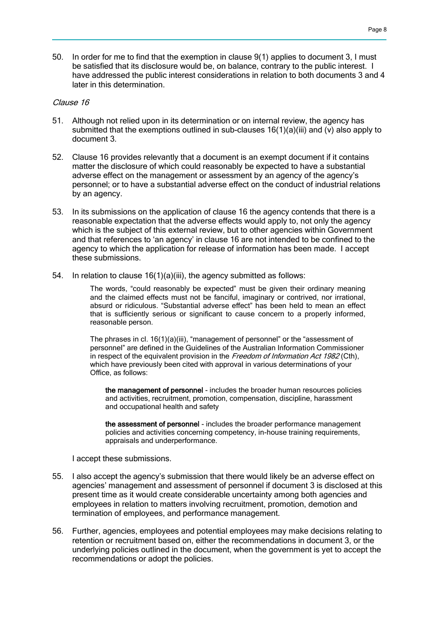50. In order for me to find that the exemption in clause 9(1) applies to document 3, I must be satisfied that its disclosure would be, on balance, contrary to the public interest. I have addressed the public interest considerations in relation to both documents 3 and 4 later in this determination.

### Clause 16

- 51. Although not relied upon in its determination or on internal review, the agency has submitted that the exemptions outlined in sub-clauses  $16(1)(a)(iii)$  and (v) also apply to document 3.
- 52. Clause 16 provides relevantly that a document is an exempt document if it contains matter the disclosure of which could reasonably be expected to have a substantial adverse effect on the management or assessment by an agency of the agency's personnel; or to have a substantial adverse effect on the conduct of industrial relations by an agency.
- 53. In its submissions on the application of clause 16 the agency contends that there is a reasonable expectation that the adverse effects would apply to, not only the agency which is the subject of this external review, but to other agencies within Government and that references to 'an agency' in clause 16 are not intended to be confined to the agency to which the application for release of information has been made. I accept these submissions.
- 54. In relation to clause 16(1)(a)(iii), the agency submitted as follows:

The words, "could reasonably be expected" must be given their ordinary meaning and the claimed effects must not be fanciful, imaginary or contrived, nor irrational, absurd or ridiculous. "Substantial adverse effect" has been held to mean an effect that is sufficiently serious or significant to cause concern to a properly informed, reasonable person.

The phrases in cl. 16(1)(a)(iii), "management of personnel" or the "assessment of personnel" are defined in the Guidelines of the Australian Information Commissioner in respect of the equivalent provision in the Freedom of Information Act  $1982$  (Cth), which have previously been cited with approval in various determinations of your Office, as follows:

the management of personnel - includes the broader human resources policies and activities, recruitment, promotion, compensation, discipline, harassment and occupational health and safety

the assessment of personnel - includes the broader performance management policies and activities concerning competency, in-house training requirements, appraisals and underperformance.

I accept these submissions.

- 55. I also accept the agency's submission that there would likely be an adverse effect on agencies' management and assessment of personnel if document 3 is disclosed at this present time as it would create considerable uncertainty among both agencies and employees in relation to matters involving recruitment, promotion, demotion and termination of employees, and performance management.
- 56. Further, agencies, employees and potential employees may make decisions relating to retention or recruitment based on, either the recommendations in document 3, or the underlying policies outlined in the document, when the government is yet to accept the recommendations or adopt the policies.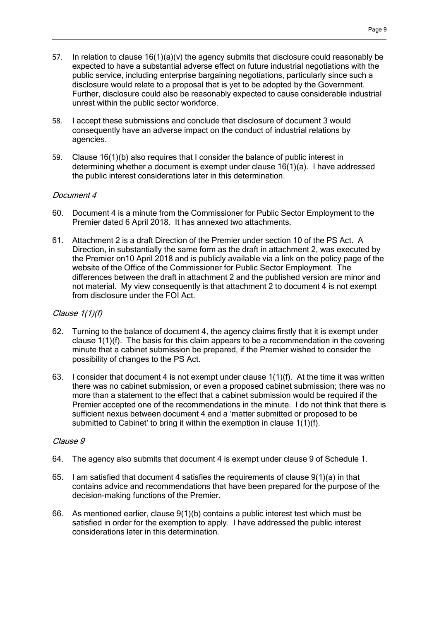- 57. In relation to clause 16(1)(a)(v) the agency submits that disclosure could reasonably be expected to have a substantial adverse effect on future industrial negotiations with the public service, including enterprise bargaining negotiations, particularly since such a disclosure would relate to a proposal that is yet to be adopted by the Government. Further, disclosure could also be reasonably expected to cause considerable industrial unrest within the public sector workforce.
- 58. I accept these submissions and conclude that disclosure of document 3 would consequently have an adverse impact on the conduct of industrial relations by agencies.
- 59. Clause 16(1)(b) also requires that I consider the balance of public interest in determining whether a document is exempt under clause 16(1)(a). I have addressed the public interest considerations later in this determination.

### Document 4

- 60. Document 4 is a minute from the Commissioner for Public Sector Employment to the Premier dated 6 April 2018. It has annexed two attachments.
- 61. Attachment 2 is a draft Direction of the Premier under section 10 of the PS Act. A Direction, in substantially the same form as the draft in attachment 2, was executed by the Premier on10 April 2018 and is publicly available via a link on the policy page of the website of the Office of the Commissioner for Public Sector Employment. The differences between the draft in attachment 2 and the published version are minor and not material. My view consequently is that attachment 2 to document 4 is not exempt from disclosure under the FOI Act.

### Clause 1(1)(f)

- 62. Turning to the balance of document 4, the agency claims firstly that it is exempt under clause 1(1)(f). The basis for this claim appears to be a recommendation in the covering minute that a cabinet submission be prepared, if the Premier wished to consider the possibility of changes to the PS Act.
- 63. I consider that document 4 is not exempt under clause 1(1)(f). At the time it was written there was no cabinet submission, or even a proposed cabinet submission; there was no more than a statement to the effect that a cabinet submission would be required if the Premier accepted one of the recommendations in the minute. I do not think that there is sufficient nexus between document 4 and a 'matter submitted or proposed to be submitted to Cabinet' to bring it within the exemption in clause 1(1)(f).

### Clause 9

- 64. The agency also submits that document 4 is exempt under clause 9 of Schedule 1.
- 65. I am satisfied that document 4 satisfies the requirements of clause  $9(1)(a)$  in that contains advice and recommendations that have been prepared for the purpose of the decision-making functions of the Premier.
- 66. As mentioned earlier, clause 9(1)(b) contains a public interest test which must be satisfied in order for the exemption to apply. I have addressed the public interest considerations later in this determination.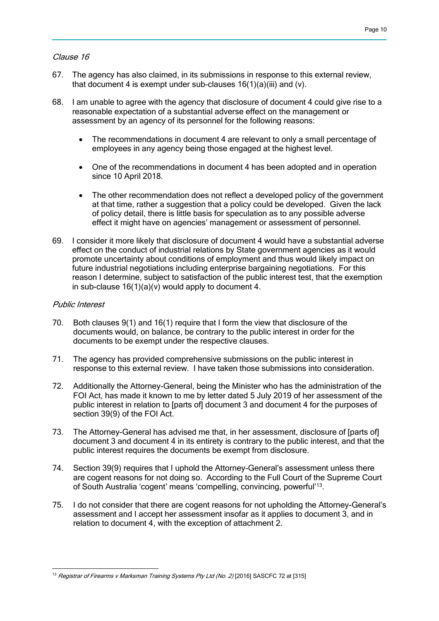### Clause 16

- 67. The agency has also claimed, in its submissions in response to this external review, that document 4 is exempt under sub-clauses  $16(1)(a)(iii)$  and  $(v)$ .
- 68. I am unable to agree with the agency that disclosure of document 4 could give rise to a reasonable expectation of a substantial adverse effect on the management or assessment by an agency of its personnel for the following reasons:
	- The recommendations in document 4 are relevant to only a small percentage of employees in any agency being those engaged at the highest level.
	- One of the recommendations in document 4 has been adopted and in operation since 10 April 2018.
	- The other recommendation does not reflect a developed policy of the government at that time, rather a suggestion that a policy could be developed. Given the lack of policy detail, there is little basis for speculation as to any possible adverse effect it might have on agencies' management or assessment of personnel.
- 69. I consider it more likely that disclosure of document 4 would have a substantial adverse effect on the conduct of industrial relations by State government agencies as it would promote uncertainty about conditions of employment and thus would likely impact on future industrial negotiations including enterprise bargaining negotiations. For this reason I determine, subject to satisfaction of the public interest test, that the exemption in sub-clause  $16(1)(a)(v)$  would apply to document 4.

### Public Interest

- 70. Both clauses 9(1) and 16(1) require that I form the view that disclosure of the documents would, on balance, be contrary to the public interest in order for the documents to be exempt under the respective clauses.
- 71. The agency has provided comprehensive submissions on the public interest in response to this external review. I have taken those submissions into consideration.
- 72. Additionally the Attorney-General, being the Minister who has the administration of the FOI Act, has made it known to me by letter dated 5 July 2019 of her assessment of the public interest in relation to [parts of] document 3 and document 4 for the purposes of section 39(9) of the FOI Act.
- 73. The Attorney-General has advised me that, in her assessment, disclosure of [parts of] document 3 and document 4 in its entirety is contrary to the public interest, and that the public interest requires the documents be exempt from disclosure.
- 74. Section 39(9) requires that I uphold the Attorney-General's assessment unless there are cogent reasons for not doing so. According to the Full Court of the Supreme Court of South Australia 'cogent' means 'compelling, convincing, powerful'<sup>13</sup>.
- 75. I do not consider that there are cogent reasons for not upholding the Attorney-General's assessment and I accept her assessment insofar as it applies to document 3, and in relation to document 4, with the exception of attachment 2.

 <sup>13</sup> Registrar of Firearms v Marksman Training Systems Pty Ltd (No. 2) [2016] SASCFC 72 at [315]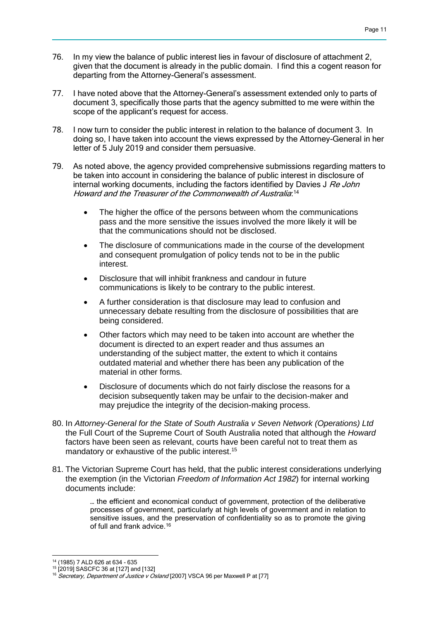- 76. In my view the balance of public interest lies in favour of disclosure of attachment 2, given that the document is already in the public domain. I find this a cogent reason for departing from the Attorney-General's assessment.
- 77. I have noted above that the Attorney-General's assessment extended only to parts of document 3, specifically those parts that the agency submitted to me were within the scope of the applicant's request for access.
- 78. I now turn to consider the public interest in relation to the balance of document 3. In doing so, I have taken into account the views expressed by the Attorney-General in her letter of 5 July 2019 and consider them persuasive.
- 79. As noted above, the agency provided comprehensive submissions regarding matters to be taken into account in considering the balance of public interest in disclosure of internal working documents, including the factors identified by Davies J Re John Howard and the Treasurer of the Commonwealth of Australia: 14
	- The higher the office of the persons between whom the communications pass and the more sensitive the issues involved the more likely it will be that the communications should not be disclosed.
	- The disclosure of communications made in the course of the development and consequent promulgation of policy tends not to be in the public interest.
	- Disclosure that will inhibit frankness and candour in future communications is likely to be contrary to the public interest.
	- A further consideration is that disclosure may lead to confusion and unnecessary debate resulting from the disclosure of possibilities that are being considered.
	- Other factors which may need to be taken into account are whether the document is directed to an expert reader and thus assumes an understanding of the subject matter, the extent to which it contains outdated material and whether there has been any publication of the material in other forms.
	- Disclosure of documents which do not fairly disclose the reasons for a decision subsequently taken may be unfair to the decision-maker and may prejudice the integrity of the decision-making process.
- 80. In *Attorney-General for the State of South Australia v Seven Network (Operations) Ltd*  the Full Court of the Supreme Court of South Australia noted that although the *Howard* factors have been seen as relevant, courts have been careful not to treat them as mandatory or exhaustive of the public interest.<sup>15</sup>
- 81. The Victorian Supreme Court has held, that the public interest considerations underlying the exemption (in the Victorian *Freedom of Information Act 1982*) for internal working documents include:

… the efficient and economical conduct of government, protection of the deliberative processes of government, particularly at high levels of government and in relation to sensitive issues, and the preservation of confidentiality so as to promote the giving of full and frank advice.[16](http://classic.austlii.edu.au/cgi-bin/sinodisp/au/cases/vic/VSCA/2007/96.html?stem=0&synonyms=0&query=Secretary,%20Department%20of%20Justice%20v%20Osland#fn91)

<sup>14</sup> (1985) 7 ALD 626 at 634 - 635

<sup>15</sup> [2019] SASCFC 36 at [127] and [132]

<sup>&</sup>lt;sup>16</sup> Secretary, Department of Justice v Osland [2007] VSCA 96 per Maxwell P at [77]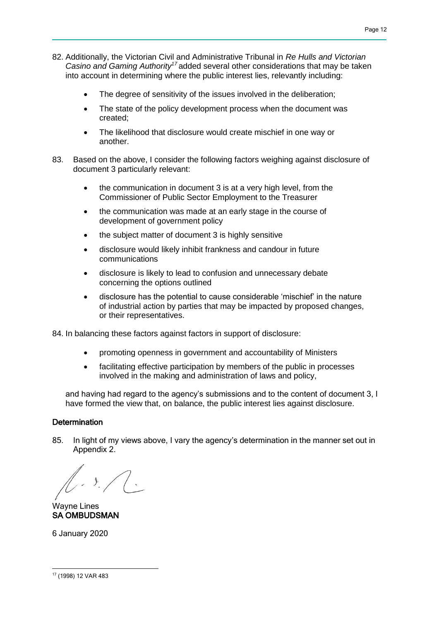- 82. Additionally, the Victorian Civil and Administrative Tribunal in *Re Hulls and Victorian Casino and Gaming Authority<sup>17</sup>* added several other considerations that may be taken into account in determining where the public interest lies, relevantly including:
	- The degree of sensitivity of the issues involved in the deliberation;
	- The state of the policy development process when the document was created;
	- The likelihood that disclosure would create mischief in one way or another.
- 83. Based on the above, I consider the following factors weighing against disclosure of document 3 particularly relevant:
	- the communication in document 3 is at a very high level, from the Commissioner of Public Sector Employment to the Treasurer
	- the communication was made at an early stage in the course of development of government policy
	- the subject matter of document 3 is highly sensitive
	- disclosure would likely inhibit frankness and candour in future communications
	- disclosure is likely to lead to confusion and unnecessary debate concerning the options outlined
	- disclosure has the potential to cause considerable 'mischief' in the nature of industrial action by parties that may be impacted by proposed changes, or their representatives.

84. In balancing these factors against factors in support of disclosure:

- promoting openness in government and accountability of Ministers
- facilitating effective participation by members of the public in processes involved in the making and administration of laws and policy,

and having had regard to the agency's submissions and to the content of document 3, I have formed the view that, on balance, the public interest lies against disclosure.

# **Determination**

85. In light of my views above, I vary the agency's determination in the manner set out in Appendix 2.

 $\mathcal{L}$ 

Wayne Lines SA OMBUDSMAN

6 January 2020

 <sup>17</sup> (1998) 12 VAR 483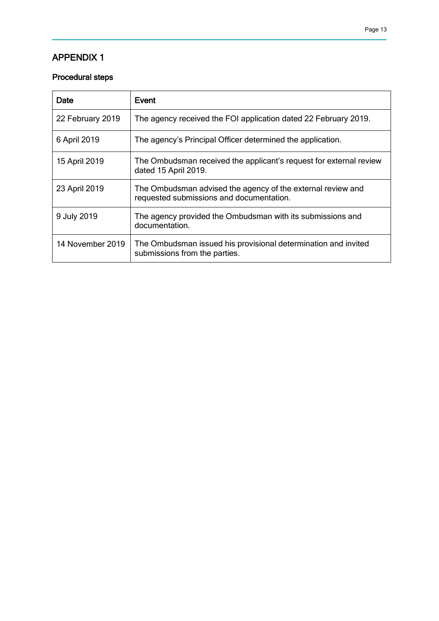# APPENDIX 1

# Procedural steps

| Date             | Event                                                                                                   |
|------------------|---------------------------------------------------------------------------------------------------------|
| 22 February 2019 | The agency received the FOI application dated 22 February 2019.                                         |
| 6 April 2019     | The agency's Principal Officer determined the application.                                              |
| 15 April 2019    | The Ombudsman received the applicant's request for external review<br>dated 15 April 2019.              |
| 23 April 2019    | The Ombudsman advised the agency of the external review and<br>requested submissions and documentation. |
| 9 July 2019      | The agency provided the Ombudsman with its submissions and<br>documentation.                            |
| 14 November 2019 | The Ombudsman issued his provisional determination and invited<br>submissions from the parties.         |